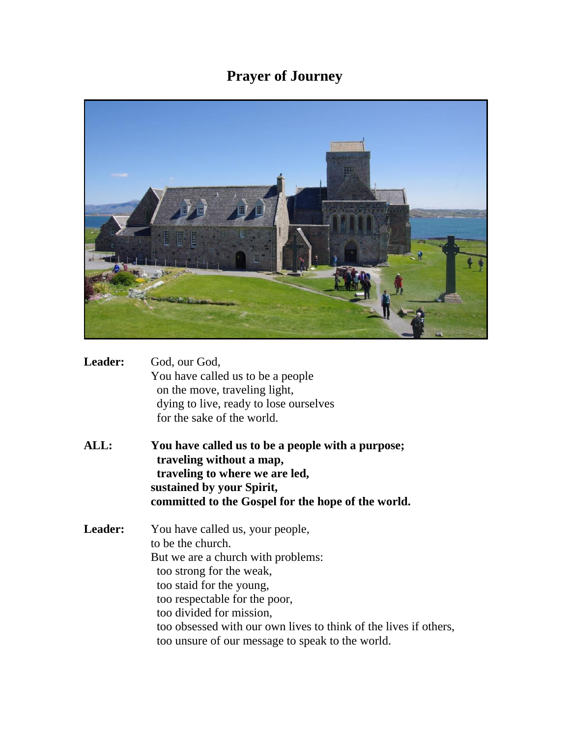## **Prayer of Journey**



| <b>Leader:</b> | God, our God,                          |
|----------------|----------------------------------------|
|                | You have called us to be a people      |
|                | on the move, traveling light,          |
|                | dying to live, ready to lose ourselves |
|                | for the sake of the world.             |

**ALL: You have called us to be a people with a purpose; traveling without a map, traveling to where we are led, sustained by your Spirit, committed to the Gospel for the hope of the world.**

**Leader:** You have called us, your people, to be the church. But we are a church with problems: too strong for the weak, too staid for the young, too respectable for the poor, too divided for mission, too obsessed with our own lives to think of the lives if others, too unsure of our message to speak to the world.